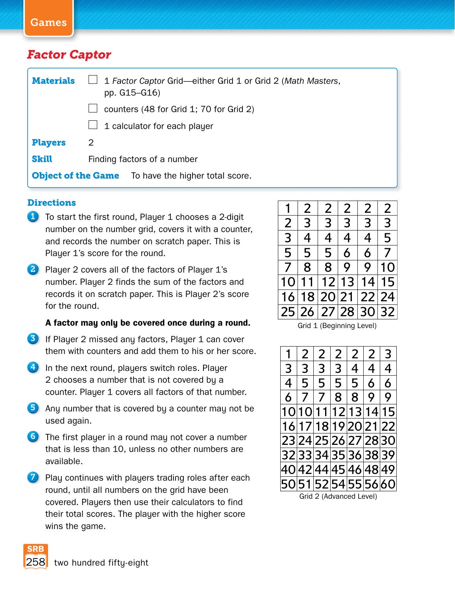Games

## *Factor Captor*

| <b>Materials</b> | 1 Factor Captor Grid-either Grid 1 or Grid 2 (Math Masters,<br>pp. G15-G16) |  |  |  |  |  |  |
|------------------|-----------------------------------------------------------------------------|--|--|--|--|--|--|
|                  | counters (48 for Grid 1; 70 for Grid 2)                                     |  |  |  |  |  |  |
|                  | 1 calculator for each player                                                |  |  |  |  |  |  |
| <b>Players</b>   | 2                                                                           |  |  |  |  |  |  |
| <b>Skill</b>     | Finding factors of a number                                                 |  |  |  |  |  |  |
|                  | <b>Object of the Game</b> To have the higher total score.                   |  |  |  |  |  |  |

## **Directions**

- 1 To start the first round, Player 1 chooses a 2-digit number on the number grid, covers it with a counter, and records the number on scratch paper. This is Player 1's score for the round.
- 2 Player 2 covers all of the factors of Player 1's number. Player 2 finds the sum of the factors and records it on scratch paper. This is Player 2's score for the round.

## **Afactor may only be covered once during a round.**

- 3 If Player 2 missed any factors, Player 1 can cover them with counters and add them to his or her score.
- 4 In the next round, players switch roles. Player 2 chooses a number that is not covered by a counter. Player 1 covers all factors of that number.
- 5 Any number that is covered by a counter may not be used again.
- 6 The first player in a round may not cover a number that is less than 10, unless no other numbers are available.
- $\mathcal I$  Play continues with players trading roles after each round, until all numbers on the grid have been covered. Players then use their calculators to find their total scores. The player with the higher score wins the game.

|                | 2 | 2 | 2                 | 2              | 2  |
|----------------|---|---|-------------------|----------------|----|
| $\overline{2}$ | 3 | 3 | 3                 | 3              | 3  |
| 3              | 4 | 4 | 4                 | $\overline{4}$ | 5  |
| 5              | 5 | 5 | 6                 | 6              | 7  |
| 7              | 8 | 8 | 9                 | 9              | 10 |
| 10             |   |   | 11 12 13          | 14             | 15 |
| 16             |   |   | 18 20 21 22 24    |                |    |
|                |   |   | 25 26 27 28 30 32 |                |    |

Grid 1 (Beginning Level)

|                         | $\overline{2}$ | $\overline{2}$ | $\overline{2}$ | $\mathcal{P}$        | $\overline{2}$ | 3                    |  |  |
|-------------------------|----------------|----------------|----------------|----------------------|----------------|----------------------|--|--|
| 3                       | 3              | 3              | 3              | 4                    | 4              | 4                    |  |  |
| 4                       | 5              | 5              | 5              | 5                    | 6              | 6                    |  |  |
| 6                       | 7              | 7              | 8              | 8                    | 9              | 9                    |  |  |
|                         |                |                |                | 10 10 11 12 13 14 15 |                |                      |  |  |
|                         |                |                |                | 16 17 18 19 20 21 22 |                |                      |  |  |
|                         |                |                |                | 23 24 25 26 27 28 30 |                |                      |  |  |
|                         |                |                |                | 32333435363839       |                |                      |  |  |
|                         |                |                |                | 40 42 44 45 46 48 49 |                |                      |  |  |
|                         |                |                |                |                      |                | 50 51 52 54 55 56 60 |  |  |
| Grid 2 (Advanced Level) |                |                |                |                      |                |                      |  |  |

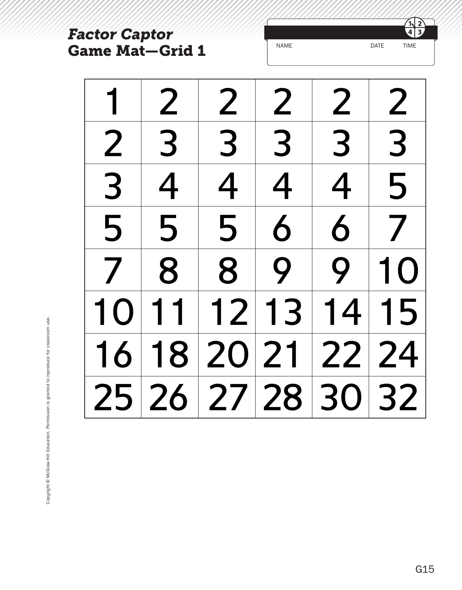| <b>Factor Captor</b> |                        |                   |                  | $\overline{3}$<br>$\overline{4}$                        |                                                         |  |  |
|----------------------|------------------------|-------------------|------------------|---------------------------------------------------------|---------------------------------------------------------|--|--|
|                      | <b>Game Mat-Grid 1</b> |                   | <b>NAME</b>      |                                                         | <b>TIME</b><br><b>DATE</b>                              |  |  |
|                      | $\boldsymbol{Z}$       | 2                 | $\boldsymbol{Z}$ | $\mathbf{Z}% _{M_{1},M_{2}}^{\prime\prime}(\mathbf{X})$ | $\mathbf{Z}% _{M_{1},M_{2}}^{\prime\prime}(\mathbf{X})$ |  |  |
| $\boldsymbol{Z}$     | 3                      | 3                 | 3                | 3                                                       | 3                                                       |  |  |
| 3                    | 4                      | 4                 | 4                | 4                                                       | 5                                                       |  |  |
| 5                    | 5                      | 5                 | 6                | 6                                                       |                                                         |  |  |
|                      | 8                      | 8                 | Q                | Q                                                       |                                                         |  |  |
|                      |                        | 12                | $\mathbf{B}$     | 4                                                       | 5                                                       |  |  |
|                      |                        |                   |                  |                                                         |                                                         |  |  |
|                      |                        | 25 26 27 28 30 32 |                  |                                                         |                                                         |  |  |

 $\frac{1}{4}$  $\overline{\mathbf{3}}$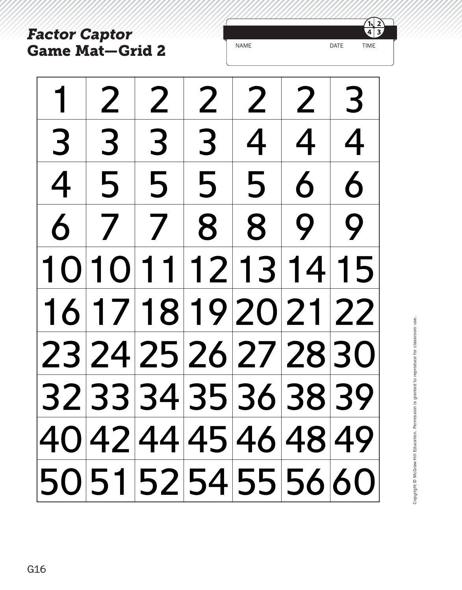*Factor Captor* **Game Mat—Grid 2**



| $\mathbf 1$ |   | 2 2                              |   | 2 2 2 3 |           |                      |
|-------------|---|----------------------------------|---|---------|-----------|----------------------|
| 3           | 3 | $\begin{array}{c} 3 \end{array}$ | 3 |         | 4   4   4 |                      |
|             |   | 4 5 5                            |   | 55666   |           |                      |
|             |   | 6778899                          |   |         |           |                      |
|             |   | 10 10 11 12 13 14 15             |   |         |           |                      |
|             |   | 16 17 18 19 20 21 22             |   |         |           |                      |
|             |   | 23 24 25 26 27 28 30             |   |         |           |                      |
|             |   |                                  |   |         |           | 32 33 34 35 36 38 39 |
|             |   |                                  |   |         |           | 40 42 44 45 46 48 49 |
|             |   |                                  |   |         |           | 50 51 52 54 55 56 60 |